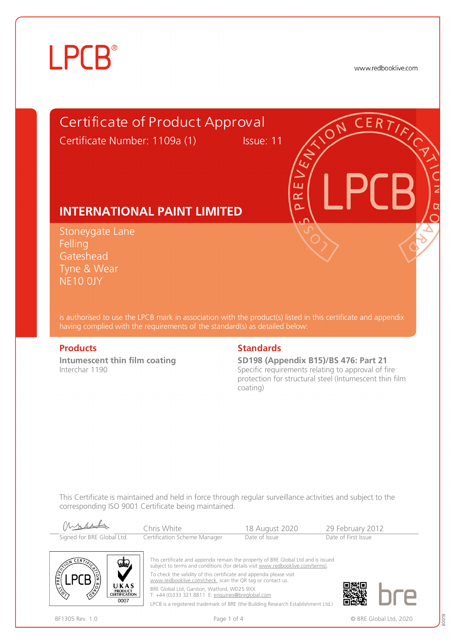www.redbooklive.com

# Certificate of Product Approval

Certificate Number: 1109a (1) Issue: 11

ய œ Ò

## **INTERNATIONAL PAINT LIMITED**

Stoneygate Lane **Felling** Gateshead Tyne & Wear NE10 0JY

is authorised to use the LPCB mark in association with the product(s) listed in this certificate and appendix having complied with the requirements of the standard(s) as detailed below:

**Intumescent thin film coating**  Interchar 1190

### **Products** Standards **Standards**

**SD198 (Appendix B15)/BS 476: Part 21** Specific requirements relating to approval of fire protection for structural steel (Intumescent thin film coating)

This Certificate is maintained and held in force through regular surveillance activities and subject to the corresponding ISO 9001 Certificate being maintained.





This certificate and appendix remain the property of BRE Global Ltd and is issued subject to terms and conditions (for details visit [www.redbooklive.com/terms\).](http://www.redbooklive.com/terms)) To check the validity of this certificate and appendix please visit [www.redbooklive.com/check](http://www.redbooklive.com/check), scan the QR tag or contact us. BRE Global Ltd, Garston, Watford, WD25 9XX T: +44 (0)333 321 8811 E: [enquiries@breglobal.com](mailto:enquiries@breglobal.com)

LPCB is a registered trademark of BRE (the Building Research Establishment Ltd.)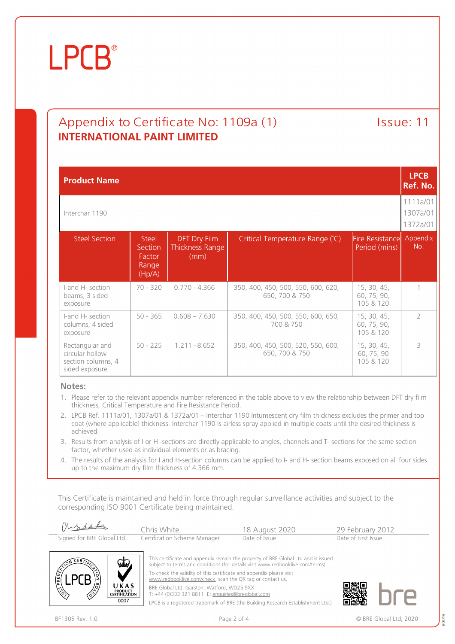## Appendix to Certificate No: 1109a (1) lssue: 11 **INTERNATIONAL PAINT LIMITED**

| <b>Product Name</b>                                                        |                                                      |                                                |                                                      |                                         |                 |  |
|----------------------------------------------------------------------------|------------------------------------------------------|------------------------------------------------|------------------------------------------------------|-----------------------------------------|-----------------|--|
| Interchar 1190                                                             |                                                      |                                                |                                                      |                                         |                 |  |
| <b>Steel Section</b>                                                       | <b>Steel</b><br>Section<br>Factor<br>Range<br>(Hp/A) | <b>DFT Dry Film</b><br>Thickness Range<br>(mm) | Critical Temperature Range (°C)                      | <b>Fire Resistance</b><br>Period (mins) | Appendix<br>No. |  |
| I-and H- section<br>beams, 3 sided<br>exposure                             | $70 - 320$                                           | $0.770 - 4.366$                                | 350, 400, 450, 500, 550, 600, 620,<br>650, 700 & 750 | 15, 30, 45,<br>60, 75, 90,<br>105 & 120 |                 |  |
| I-and H- section<br>columns, 4 sided<br>exposure                           | $50 - 365$                                           | $0.608 - 7.630$                                | 350, 400, 450, 500, 550, 600, 650,<br>700 & 750      | 15, 30, 45,<br>60, 75, 90,<br>105 & 120 | $\mathcal{P}$   |  |
| Rectangular and<br>circular hollow<br>section columns, 4<br>sided exposure | $50 - 225$                                           | $1.211 - 8.652$                                | 350, 400, 450, 500, 520, 550, 600,<br>650, 700 & 750 | 15, 30, 45,<br>60, 75, 90<br>105 & 120  | $\mathcal{L}$   |  |

### **Notes:**

- 1. Please refer to the relevant appendix number referenced in the table above to view the relationship between DFT dry film thickness, Critical Temperature and Fire Resistance Period.
- 2. LPCB Ref. 1111a/01, 1307a/01 & 1372a/01 Interchar 1190 Intumescent dry film thickness excludes the primer and top coat (where applicable) thickness. Interchar 1190 is airless spray applied in multiple coats until the desired thickness is achieved.
- 3. Results from analysis of I or H -sections are directly applicable to angles, channels and T- sections for the same section factor, whether used as individual elements or as bracing.
- 4. The results of the analysis for I and H-section columns can be applied to I- and H- section beams exposed on all four sides up to the maximum dry film thickness of 4.366 mm.

This Certificate is maintained and held in force through regular surveillance activities and subject to the corresponding ISO 9001 Certificate being maintained.





This certificate and appendix remain the property of BRE Global Ltd and is issued subject to terms and conditions (for details visit [www.redbooklive.com/terms\)](http://www.redbooklive.com/terms)). To check the validity of this certificate and appendix please visit [www.redbooklive.com/check,](http://www.redbooklive.com/check) scan the QR tag or contact us.

BRE Global Ltd, Garston, Watford, WD25 9XX T: +44 (0)333 321 8811 E: [enquiries@breglobal.com](mailto:enquiries@breglobal.com)

LPCB is a registered trademark of BRE (the Building Research Establishment Ltd.)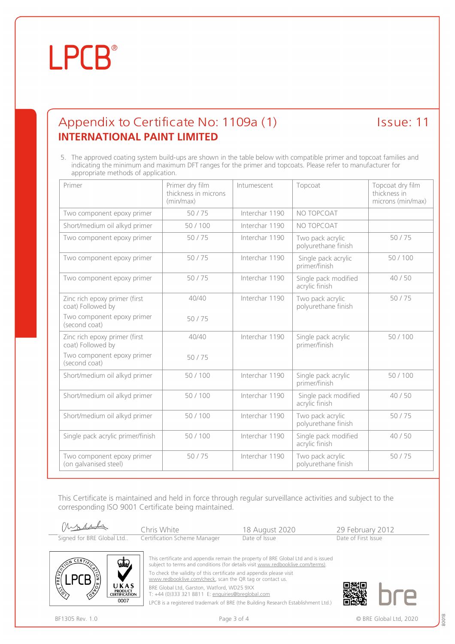## Appendix to Certificate No: 1109a (1) lssue: 11 **INTERNATIONAL PAINT LIMITED**

5. The approved coating system build-ups are shown in the table below with compatible primer and topcoat families and indicating the minimum and maximum DFT ranges for the primer and topcoats. Please refer to manufacturer for appropriate methods of application.

| Primer                                              | Primer dry film<br>thickness in microns<br>(min/max) | Intumescent    | Topcoat                                 | Topcoat dry film<br>thickness in<br>microns (min/max) |
|-----------------------------------------------------|------------------------------------------------------|----------------|-----------------------------------------|-------------------------------------------------------|
| Two component epoxy primer                          | 50/75                                                | Interchar 1190 | NO TOPCOAT                              |                                                       |
| Short/medium oil alkyd primer                       | 50/100                                               | Interchar 1190 | NO TOPCOAT                              |                                                       |
| Two component epoxy primer                          | 50/75                                                | Interchar 1190 | Two pack acrylic<br>polyurethane finish | 50/75                                                 |
| Two component epoxy primer                          | 50/75                                                | Interchar 1190 | Single pack acrylic<br>primer/finish    | 50/100                                                |
| Two component epoxy primer                          | 50/75                                                | Interchar 1190 | Single pack modified<br>acrylic finish  | 40/50                                                 |
| Zinc rich epoxy primer (first<br>coat) Followed by  | 40/40                                                | Interchar 1190 | Two pack acrylic<br>polyurethane finish | 50/75                                                 |
| Two component epoxy primer<br>(second coat)         | 50/75                                                |                |                                         |                                                       |
| Zinc rich epoxy primer (first<br>coat) Followed by  | 40/40                                                | Interchar 1190 | Single pack acrylic<br>primer/finish    | 50/100                                                |
| Two component epoxy primer<br>(second coat)         | 50/75                                                |                |                                         |                                                       |
| Short/medium oil alkyd primer                       | 50/100                                               | Interchar 1190 | Single pack acrylic<br>primer/finish    | 50/100                                                |
| Short/medium oil alkyd primer                       | 50/100                                               | Interchar 1190 | Single pack modified<br>acrylic finish  | 40/50                                                 |
| Short/medium oil alkyd primer                       | 50/100                                               | Interchar 1190 | Two pack acrylic<br>polyurethane finish | 50/75                                                 |
| Single pack acrylic primer/finish                   | 50/100                                               | Interchar 1190 | Single pack modified<br>acrylic finish  | 40/50                                                 |
| Two component epoxy primer<br>(on galvanised steel) | 50/75                                                | Interchar 1190 | Two pack acrylic<br>polyurethane finish | 50/75                                                 |

This Certificate is maintained and held in force through regular surveillance activities and subject to the corresponding ISO 9001 Certificate being maintained.

mossel Chris White 18 August 2020 29 February 2012<br>
Certification Scheme Manager Date of Issue Date of First Issue Signed for BRE Global Ltd.. Certification Scheme Manager



This certificate and appendix remain the property of BRE Global Ltd and is issued subject to terms and conditions (for details visit [www.redbooklive.com/terms\)](http://www.redbooklive.com/terms)). To check the validity of this certificate and appendix please visit [www.redbooklive.com/check,](http://www.redbooklive.com/check) scan the QR tag or contact us.

BRE Global Ltd, Garston, Watford, WD25 9XX

T: +44 (0)333 321 8811 E: [enquiries@breglobal.com](mailto:enquiries@breglobal.com)

LPCB is a registered trademark of BRE (the Building Research Establishment Ltd.)



80018